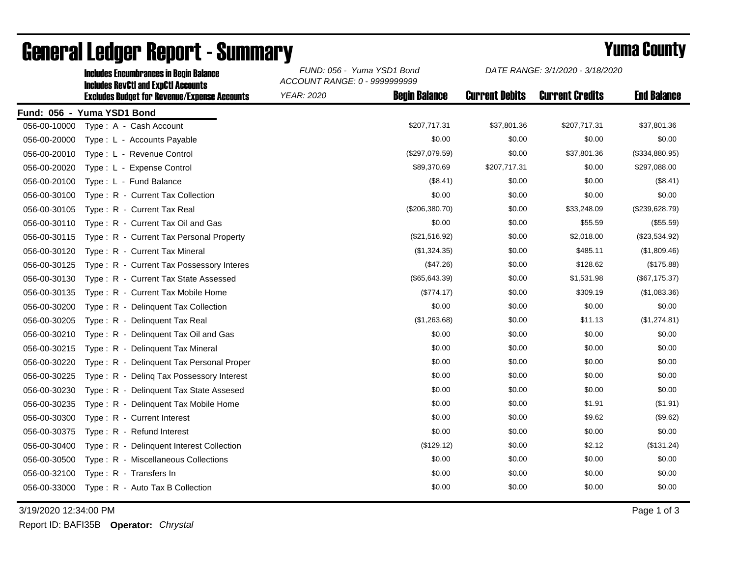|              | <b>Includes RevCtI and ExpCtI Accounts</b>          | ACCOUNT RANGE: 0 - 9999999999 |                      |                       |                        |                    |  |
|--------------|-----------------------------------------------------|-------------------------------|----------------------|-----------------------|------------------------|--------------------|--|
|              | <b>Excludes Budget for Revenue/Expense Accounts</b> | <b>YEAR: 2020</b>             | <b>Begin Balance</b> | <b>Current Debits</b> | <b>Current Credits</b> | <b>End Balance</b> |  |
|              | Fund: 056 - Yuma YSD1 Bond                          |                               |                      |                       |                        |                    |  |
| 056-00-10000 | Type: A - Cash Account                              |                               | \$207,717.31         | \$37,801.36           | \$207,717.31           | \$37,801.36        |  |
| 056-00-20000 | Type: L - Accounts Payable                          |                               | \$0.00               | \$0.00                | \$0.00                 | \$0.00             |  |
| 056-00-20010 | Type: L - Revenue Control                           |                               | (\$297,079.59)       | \$0.00                | \$37,801.36            | (\$334,880.95)     |  |
| 056-00-20020 | Type: L - Expense Control                           |                               | \$89,370.69          | \$207,717.31          | \$0.00                 | \$297,088.00       |  |
| 056-00-20100 | Type: L - Fund Balance                              |                               | (\$8.41)             | \$0.00                | \$0.00                 | (\$8.41)           |  |
| 056-00-30100 | Type: R - Current Tax Collection                    |                               | \$0.00               | \$0.00                | \$0.00                 | \$0.00             |  |
| 056-00-30105 | Type: R - Current Tax Real                          |                               | (\$206,380.70)       | \$0.00                | \$33,248.09            | (\$239,628.79)     |  |
| 056-00-30110 | Type: R - Current Tax Oil and Gas                   |                               | \$0.00               | \$0.00                | \$55.59                | (\$55.59)          |  |
| 056-00-30115 | Type: R - Current Tax Personal Property             |                               | (\$21,516.92)        | \$0.00                | \$2,018.00             | (\$23,534.92)      |  |
| 056-00-30120 | Type: R - Current Tax Mineral                       |                               | (\$1,324.35)         | \$0.00                | \$485.11               | (\$1,809.46)       |  |
| 056-00-30125 | Type: R - Current Tax Possessory Interes            |                               | (\$47.26)            | \$0.00                | \$128.62               | (\$175.88)         |  |
| 056-00-30130 | Type: R - Current Tax State Assessed                |                               | $(\$65,643.39)$      | \$0.00                | \$1,531.98             | (\$67,175.37)      |  |
| 056-00-30135 | Type: R - Current Tax Mobile Home                   |                               | (\$774.17)           | \$0.00                | \$309.19               | (\$1,083.36)       |  |
| 056-00-30200 | Type: R - Delinguent Tax Collection                 |                               | \$0.00               | \$0.00                | \$0.00                 | \$0.00             |  |
| 056-00-30205 | Type: R - Delinquent Tax Real                       |                               | (\$1,263.68)         | \$0.00                | \$11.13                | (\$1,274.81)       |  |
| 056-00-30210 | Type: R - Delinguent Tax Oil and Gas                |                               | \$0.00               | \$0.00                | \$0.00                 | \$0.00             |  |
| 056-00-30215 | Type: R - Delinquent Tax Mineral                    |                               | \$0.00               | \$0.00                | \$0.00                 | \$0.00             |  |
| 056-00-30220 | Type: R - Delinguent Tax Personal Proper            |                               | \$0.00               | \$0.00                | \$0.00                 | \$0.00             |  |
| 056-00-30225 | Type: R - Deling Tax Possessory Interest            |                               | \$0.00               | \$0.00                | \$0.00                 | \$0.00             |  |
| 056-00-30230 | Type: R - Delinquent Tax State Assesed              |                               | \$0.00               | \$0.00                | \$0.00                 | \$0.00             |  |
| 056-00-30235 | Type: R - Delinquent Tax Mobile Home                |                               | \$0.00               | \$0.00                | \$1.91                 | (\$1.91)           |  |
| 056-00-30300 | Type: R - Current Interest                          |                               | \$0.00               | \$0.00                | \$9.62                 | (\$9.62)           |  |
| 056-00-30375 | Type: R - Refund Interest                           |                               | \$0.00               | \$0.00                | \$0.00                 | \$0.00             |  |
| 056-00-30400 | Type: R - Delinquent Interest Collection            |                               | (\$129.12)           | \$0.00                | \$2.12                 | (\$131.24)         |  |
| 056-00-30500 | Type: R - Miscellaneous Collections                 |                               | \$0.00               | \$0.00                | \$0.00                 | \$0.00             |  |
| 056-00-32100 | Type: R - Transfers In                              |                               | \$0.00               | \$0.00                | \$0.00                 | \$0.00             |  |
| 056-00-33000 | Type: R - Auto Tax B Collection                     |                               | \$0.00               | \$0.00                | \$0.00                 | \$0.00             |  |
|              |                                                     |                               |                      |                       |                        |                    |  |

## General Ledger Report - Summary **Example 2018** Yuma County

Includes Encumbrances in Begin Balance *FUND: 056 - Yuma YSD1 Bond*

3/19/2020 12:34:00 PM Page 1 of 3

Report ID: BAFI35B **Operator:** *Chrystal*

*DATE RANGE: 3/1/2020 - 3/18/2020*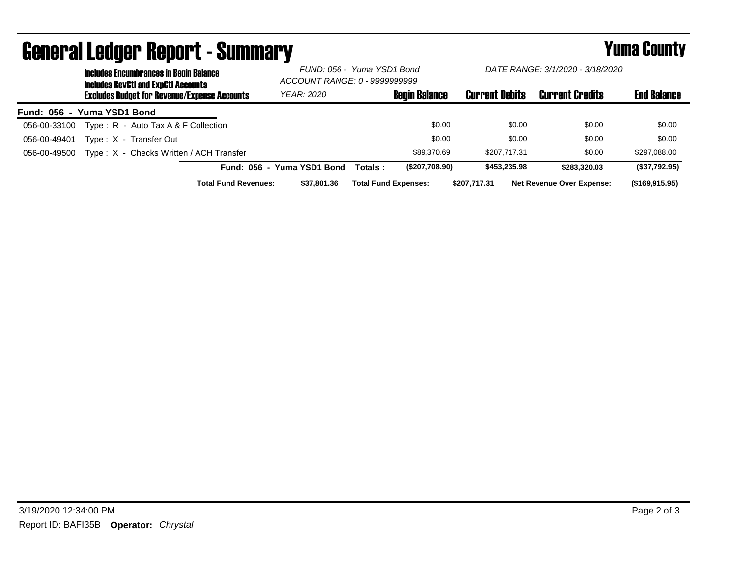|                            | <b>Includes Encumbrances in Begin Balance</b><br><b>Includes RevCtI and ExpCtI Accounts</b> |                                                     | FUND: 056 - Yuma YSD1 Bond<br>ACCOUNT RANGE: 0 - 9999999999 |                             | DATE RANGE: 3/1/2020 - 3/18/2020 |                       |                                  |                    |
|----------------------------|---------------------------------------------------------------------------------------------|-----------------------------------------------------|-------------------------------------------------------------|-----------------------------|----------------------------------|-----------------------|----------------------------------|--------------------|
|                            |                                                                                             | <b>Excludes Budget for Revenue/Expense Accounts</b> | YEAR: 2020                                                  |                             | <b>Begin Balance</b>             | <b>Current Debits</b> | <b>Current Credits</b>           | <b>End Balance</b> |
| Fund: 056 - Yuma YSD1 Bond |                                                                                             |                                                     |                                                             |                             |                                  |                       |                                  |                    |
| 056-00-33100               |                                                                                             | Type: $R -$ Auto Tax A & F Collection               |                                                             |                             | \$0.00                           | \$0.00                | \$0.00                           | \$0.00             |
| 056-00-49401               |                                                                                             | Type: X - Transfer Out                              |                                                             |                             | \$0.00                           | \$0.00                | \$0.00                           | \$0.00             |
| 056-00-49500               |                                                                                             | Type: X - Checks Written / ACH Transfer             |                                                             |                             | \$89,370.69                      | \$207.717.31          | \$0.00                           | \$297,088.00       |
|                            |                                                                                             |                                                     | Fund: 056 - Yuma YSD1 Bond                                  | Totals :                    | (\$207,708.90)                   | \$453,235.98          | \$283.320.03                     | (\$37,792.95)      |
|                            |                                                                                             | <b>Total Fund Revenues:</b>                         | \$37,801,36                                                 | <b>Total Fund Expenses:</b> |                                  | \$207.717.31          | <b>Net Revenue Over Expense:</b> | $($ \$169,915.95)  |

## General Ledger Report - Summary **Example 2018** Yuma County